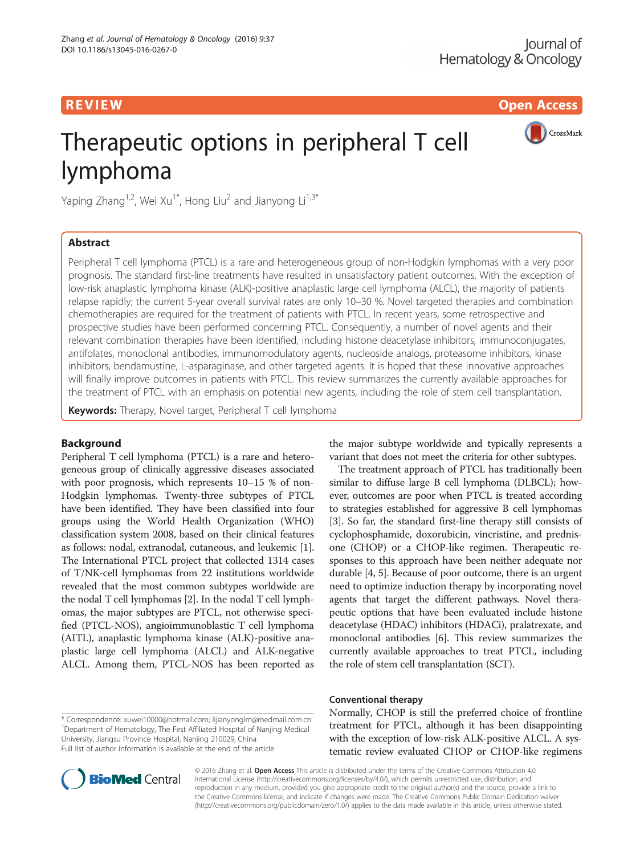REVIEW **REVIEW REVIEW CONSTRUCTER** 

CrossMark

# Therapeutic options in peripheral T cell lymphoma

Yaping Zhang<sup>1,2</sup>, Wei Xu<sup>1\*</sup>, Hong Liu<sup>2</sup> and Jianyong Li<sup>1,3\*</sup>

## Abstract

Peripheral T cell lymphoma (PTCL) is a rare and heterogeneous group of non-Hodgkin lymphomas with a very poor prognosis. The standard first-line treatments have resulted in unsatisfactory patient outcomes. With the exception of low-risk anaplastic lymphoma kinase (ALK)-positive anaplastic large cell lymphoma (ALCL), the majority of patients relapse rapidly; the current 5-year overall survival rates are only 10–30 %. Novel targeted therapies and combination chemotherapies are required for the treatment of patients with PTCL. In recent years, some retrospective and prospective studies have been performed concerning PTCL. Consequently, a number of novel agents and their relevant combination therapies have been identified, including histone deacetylase inhibitors, immunoconjugates, antifolates, monoclonal antibodies, immunomodulatory agents, nucleoside analogs, proteasome inhibitors, kinase inhibitors, bendamustine, L-asparaginase, and other targeted agents. It is hoped that these innovative approaches will finally improve outcomes in patients with PTCL. This review summarizes the currently available approaches for the treatment of PTCL with an emphasis on potential new agents, including the role of stem cell transplantation.

Keywords: Therapy, Novel target, Peripheral T cell lymphoma

## Background

Peripheral T cell lymphoma (PTCL) is a rare and heterogeneous group of clinically aggressive diseases associated with poor prognosis, which represents 10–15 % of non-Hodgkin lymphomas. Twenty-three subtypes of PTCL have been identified. They have been classified into four groups using the World Health Organization (WHO) classification system 2008, based on their clinical features as follows: nodal, extranodal, cutaneous, and leukemic [[1](#page-7-0)]. The International PTCL project that collected 1314 cases of T/NK-cell lymphomas from 22 institutions worldwide revealed that the most common subtypes worldwide are the nodal T cell lymphomas [\[2](#page-7-0)]. In the nodal T cell lymphomas, the major subtypes are PTCL, not otherwise specified (PTCL-NOS), angioimmunoblastic T cell lymphoma (AITL), anaplastic lymphoma kinase (ALK)-positive anaplastic large cell lymphoma (ALCL) and ALK-negative ALCL. Among them, PTCL-NOS has been reported as

the major subtype worldwide and typically represents a variant that does not meet the criteria for other subtypes.

The treatment approach of PTCL has traditionally been similar to diffuse large B cell lymphoma (DLBCL); however, outcomes are poor when PTCL is treated according to strategies established for aggressive B cell lymphomas [[3\]](#page-8-0). So far, the standard first-line therapy still consists of cyclophosphamide, doxorubicin, vincristine, and prednisone (CHOP) or a CHOP-like regimen. Therapeutic responses to this approach have been neither adequate nor durable [\[4](#page-8-0), [5\]](#page-8-0). Because of poor outcome, there is an urgent need to optimize induction therapy by incorporating novel agents that target the different pathways. Novel therapeutic options that have been evaluated include histone deacetylase (HDAC) inhibitors (HDACi), pralatrexate, and monoclonal antibodies [[6](#page-8-0)]. This review summarizes the currently available approaches to treat PTCL, including the role of stem cell transplantation (SCT).

#### \* Correspondence: [xuwei10000@hotmail.com](mailto:xuwei10000@hotmail.com); [lijianyonglm@medmail.com.cn](mailto:lijianyonglm@medmail.com.cn) <sup>1</sup> <sup>1</sup>Department of Hematology, The First Affiliated Hospital of Nanjing Medical University, Jiangsu Province Hospital, Nanjing 210029, China Full list of author information is available at the end of the article



Conventional therapy

Normally, CHOP is still the preferred choice of frontline treatment for PTCL, although it has been disappointing with the exception of low-risk ALK-positive ALCL. A systematic review evaluated CHOP or CHOP-like regimens

© 2016 Zhang et al. Open Access This article is distributed under the terms of the Creative Commons Attribution 4.0 International License [\(http://creativecommons.org/licenses/by/4.0/](http://creativecommons.org/licenses/by/4.0/)), which permits unrestricted use, distribution, and reproduction in any medium, provided you give appropriate credit to the original author(s) and the source, provide a link to the Creative Commons license, and indicate if changes were made. The Creative Commons Public Domain Dedication waiver [\(http://creativecommons.org/publicdomain/zero/1.0/](http://creativecommons.org/publicdomain/zero/1.0/)) applies to the data made available in this article, unless otherwise stated.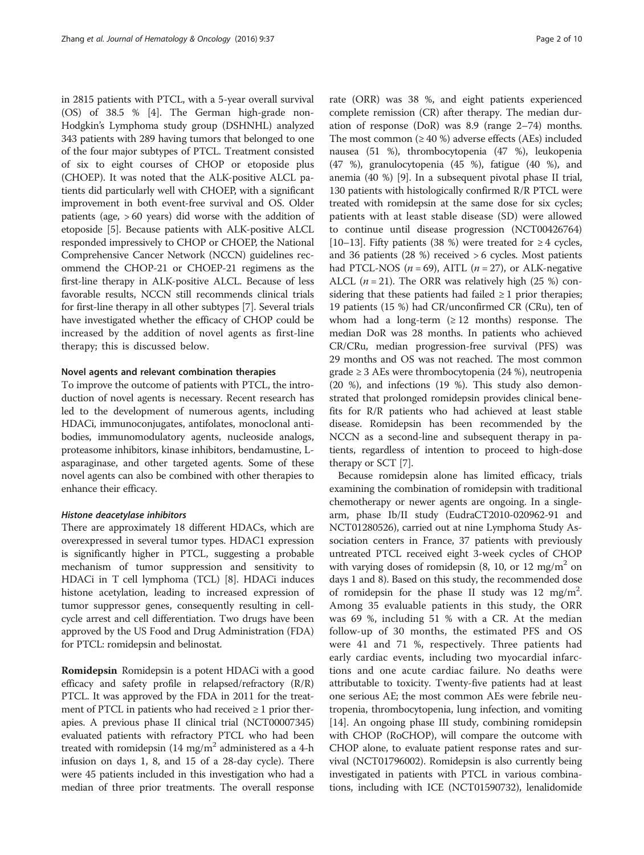in 2815 patients with PTCL, with a 5-year overall survival (OS) of 38.5 % [[4](#page-8-0)]. The German high-grade non-Hodgkin's Lymphoma study group (DSHNHL) analyzed 343 patients with 289 having tumors that belonged to one of the four major subtypes of PTCL. Treatment consisted of six to eight courses of CHOP or etoposide plus (CHOEP). It was noted that the ALK-positive ALCL patients did particularly well with CHOEP, with a significant improvement in both event-free survival and OS. Older patients (age, > 60 years) did worse with the addition of etoposide [\[5\]](#page-8-0). Because patients with ALK-positive ALCL responded impressively to CHOP or CHOEP, the National Comprehensive Cancer Network (NCCN) guidelines recommend the CHOP-21 or CHOEP-21 regimens as the first-line therapy in ALK-positive ALCL. Because of less favorable results, NCCN still recommends clinical trials for first-line therapy in all other subtypes [[7\]](#page-8-0). Several trials have investigated whether the efficacy of CHOP could be increased by the addition of novel agents as first-line therapy; this is discussed below.

## Novel agents and relevant combination therapies

To improve the outcome of patients with PTCL, the introduction of novel agents is necessary. Recent research has led to the development of numerous agents, including HDACi, immunoconjugates, antifolates, monoclonal antibodies, immunomodulatory agents, nucleoside analogs, proteasome inhibitors, kinase inhibitors, bendamustine, Lasparaginase, and other targeted agents. Some of these novel agents can also be combined with other therapies to enhance their efficacy.

## Histone deacetylase inhibitors

There are approximately 18 different HDACs, which are overexpressed in several tumor types. HDAC1 expression is significantly higher in PTCL, suggesting a probable mechanism of tumor suppression and sensitivity to HDACi in T cell lymphoma (TCL) [[8\]](#page-8-0). HDACi induces histone acetylation, leading to increased expression of tumor suppressor genes, consequently resulting in cellcycle arrest and cell differentiation. Two drugs have been approved by the US Food and Drug Administration (FDA) for PTCL: romidepsin and belinostat.

Romidepsin Romidepsin is a potent HDACi with a good efficacy and safety profile in relapsed/refractory (R/R) PTCL. It was approved by the FDA in 2011 for the treatment of PTCL in patients who had received  $\geq 1$  prior therapies. A previous phase II clinical trial (NCT00007345) evaluated patients with refractory PTCL who had been treated with romidepsin  $(14 \text{ mg/m}^2 \text{ adminstered as a } 4\text{-h})$ infusion on days 1, 8, and 15 of a 28-day cycle). There were 45 patients included in this investigation who had a median of three prior treatments. The overall response

rate (ORR) was 38 %, and eight patients experienced complete remission (CR) after therapy. The median duration of response (DoR) was 8.9 (range 2–74) months. The most common  $(\geq 40\%)$  adverse effects (AEs) included nausea (51 %), thrombocytopenia (47 %), leukopenia (47 %), granulocytopenia (45 %), fatigue (40 %), and anemia (40 %) [\[9](#page-8-0)]. In a subsequent pivotal phase II trial, 130 patients with histologically confirmed R/R PTCL were treated with romidepsin at the same dose for six cycles; patients with at least stable disease (SD) were allowed to continue until disease progression (NCT00426764) [[10](#page-8-0)–[13\]](#page-8-0). Fifty patients (38 %) were treated for  $\geq$  4 cycles, and 36 patients (28 %) received > 6 cycles. Most patients had PTCL-NOS ( $n = 69$ ), AITL ( $n = 27$ ), or ALK-negative ALCL  $(n = 21)$ . The ORR was relatively high  $(25 \%)$  considering that these patients had failed  $\geq 1$  prior therapies; 19 patients (15 %) had CR/unconfirmed CR (CRu), ten of whom had a long-term  $(\geq 12 \text{ months})$  response. The median DoR was 28 months. In patients who achieved CR/CRu, median progression-free survival (PFS) was 29 months and OS was not reached. The most common grade ≥ 3 AEs were thrombocytopenia (24 %), neutropenia (20 %), and infections (19 %). This study also demonstrated that prolonged romidepsin provides clinical benefits for R/R patients who had achieved at least stable disease. Romidepsin has been recommended by the NCCN as a second-line and subsequent therapy in patients, regardless of intention to proceed to high-dose therapy or SCT [\[7](#page-8-0)].

Because romidepsin alone has limited efficacy, trials examining the combination of romidepsin with traditional chemotherapy or newer agents are ongoing. In a singlearm, phase Ib/II study (EudraCT2010-020962-91 and NCT01280526), carried out at nine Lymphoma Study Association centers in France, 37 patients with previously untreated PTCL received eight 3-week cycles of CHOP with varying doses of romidepsin  $(8, 10, \text{ or } 12 \text{ mg/m}^2 \text{ on } 1)$ days 1 and 8). Based on this study, the recommended dose of romidepsin for the phase II study was  $12 \text{ mg/m}^2$ . Among 35 evaluable patients in this study, the ORR was 69 %, including 51 % with a CR. At the median follow-up of 30 months, the estimated PFS and OS were 41 and 71 %, respectively. Three patients had early cardiac events, including two myocardial infarctions and one acute cardiac failure. No deaths were attributable to toxicity. Twenty-five patients had at least one serious AE; the most common AEs were febrile neutropenia, thrombocytopenia, lung infection, and vomiting [[14](#page-8-0)]. An ongoing phase III study, combining romidepsin with CHOP (RoCHOP), will compare the outcome with CHOP alone, to evaluate patient response rates and survival (NCT01796002). Romidepsin is also currently being investigated in patients with PTCL in various combinations, including with ICE (NCT01590732), lenalidomide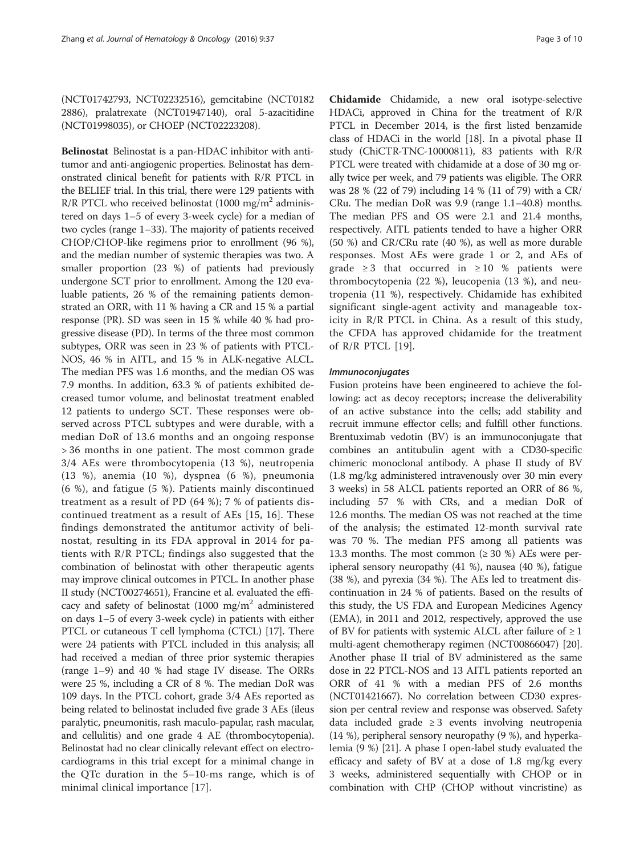(NCT01742793, NCT02232516), gemcitabine (NCT0182 2886), pralatrexate (NCT01947140), oral 5-azacitidine (NCT01998035), or CHOEP (NCT02223208).

Belinostat Belinostat is a pan-HDAC inhibitor with antitumor and anti-angiogenic properties. Belinostat has demonstrated clinical benefit for patients with R/R PTCL in the BELIEF trial. In this trial, there were 129 patients with  $R/R$  PTCL who received belinostat (1000 mg/m<sup>2</sup> administered on days 1–5 of every 3-week cycle) for a median of two cycles (range 1–33). The majority of patients received CHOP/CHOP-like regimens prior to enrollment (96 %), and the median number of systemic therapies was two. A smaller proportion (23 %) of patients had previously undergone SCT prior to enrollment. Among the 120 evaluable patients, 26 % of the remaining patients demonstrated an ORR, with 11 % having a CR and 15 % a partial response (PR). SD was seen in 15 % while 40 % had progressive disease (PD). In terms of the three most common subtypes, ORR was seen in 23 % of patients with PTCL-NOS, 46 % in AITL, and 15 % in ALK-negative ALCL. The median PFS was 1.6 months, and the median OS was 7.9 months. In addition, 63.3 % of patients exhibited decreased tumor volume, and belinostat treatment enabled 12 patients to undergo SCT. These responses were observed across PTCL subtypes and were durable, with a median DoR of 13.6 months and an ongoing response > 36 months in one patient. The most common grade 3/4 AEs were thrombocytopenia (13 %), neutropenia (13 %), anemia (10 %), dyspnea (6 %), pneumonia (6 %), and fatigue (5 %). Patients mainly discontinued treatment as a result of PD (64 %); 7 % of patients discontinued treatment as a result of AEs [\[15, 16](#page-8-0)]. These findings demonstrated the antitumor activity of belinostat, resulting in its FDA approval in 2014 for patients with R/R PTCL; findings also suggested that the combination of belinostat with other therapeutic agents may improve clinical outcomes in PTCL. In another phase II study (NCT00274651), Francine et al. evaluated the efficacy and safety of belinostat  $(1000 \text{ mg/m}^2 \text{ administered})$ on days 1–5 of every 3-week cycle) in patients with either PTCL or cutaneous T cell lymphoma (CTCL) [[17](#page-8-0)]. There were 24 patients with PTCL included in this analysis; all had received a median of three prior systemic therapies (range 1–9) and 40 % had stage IV disease. The ORRs were 25 %, including a CR of 8 %. The median DoR was 109 days. In the PTCL cohort, grade 3/4 AEs reported as being related to belinostat included five grade 3 AEs (ileus paralytic, pneumonitis, rash maculo-papular, rash macular, and cellulitis) and one grade 4 AE (thrombocytopenia). Belinostat had no clear clinically relevant effect on electrocardiograms in this trial except for a minimal change in the QTc duration in the 5–10-ms range, which is of minimal clinical importance [\[17](#page-8-0)].

Chidamide Chidamide, a new oral isotype-selective HDACi, approved in China for the treatment of R/R PTCL in December 2014, is the first listed benzamide class of HDACi in the world [\[18](#page-8-0)]. In a pivotal phase II study (ChiCTR-TNC-10000811), 83 patients with R/R PTCL were treated with chidamide at a dose of 30 mg orally twice per week, and 79 patients was eligible. The ORR was 28 % (22 of 79) including 14 % (11 of 79) with a CR/ CRu. The median DoR was 9.9 (range 1.1–40.8) months. The median PFS and OS were 2.1 and 21.4 months, respectively. AITL patients tended to have a higher ORR (50 %) and CR/CRu rate (40 %), as well as more durable responses. Most AEs were grade 1 or 2, and AEs of grade  $\geq 3$  that occurred in  $\geq 10$  % patients were thrombocytopenia (22 %), leucopenia (13 %), and neutropenia (11 %), respectively. Chidamide has exhibited significant single-agent activity and manageable toxicity in R/R PTCL in China. As a result of this study, the CFDA has approved chidamide for the treatment of R/R PTCL [\[19](#page-8-0)].

## Immunoconjugates

Fusion proteins have been engineered to achieve the following: act as decoy receptors; increase the deliverability of an active substance into the cells; add stability and recruit immune effector cells; and fulfill other functions. Brentuximab vedotin (BV) is an immunoconjugate that combines an antitubulin agent with a CD30-specific chimeric monoclonal antibody. A phase II study of BV (1.8 mg/kg administered intravenously over 30 min every 3 weeks) in 58 ALCL patients reported an ORR of 86 %, including 57 % with CRs, and a median DoR of 12.6 months. The median OS was not reached at the time of the analysis; the estimated 12-month survival rate was 70 %. The median PFS among all patients was 13.3 months. The most common  $(≥ 30 %)$  AEs were peripheral sensory neuropathy (41 %), nausea (40 %), fatigue (38 %), and pyrexia (34 %). The AEs led to treatment discontinuation in 24 % of patients. Based on the results of this study, the US FDA and European Medicines Agency (EMA), in 2011 and 2012, respectively, approved the use of BV for patients with systemic ALCL after failure of  $\geq 1$ multi-agent chemotherapy regimen (NCT00866047) [[20](#page-8-0)]. Another phase II trial of BV administered as the same dose in 22 PTCL-NOS and 13 AITL patients reported an ORR of 41 % with a median PFS of 2.6 months (NCT01421667). No correlation between CD30 expression per central review and response was observed. Safety data included grade ≥ 3 events involving neutropenia (14 %), peripheral sensory neuropathy (9 %), and hyperkalemia (9 %) [\[21\]](#page-8-0). A phase I open-label study evaluated the efficacy and safety of BV at a dose of 1.8 mg/kg every 3 weeks, administered sequentially with CHOP or in combination with CHP (CHOP without vincristine) as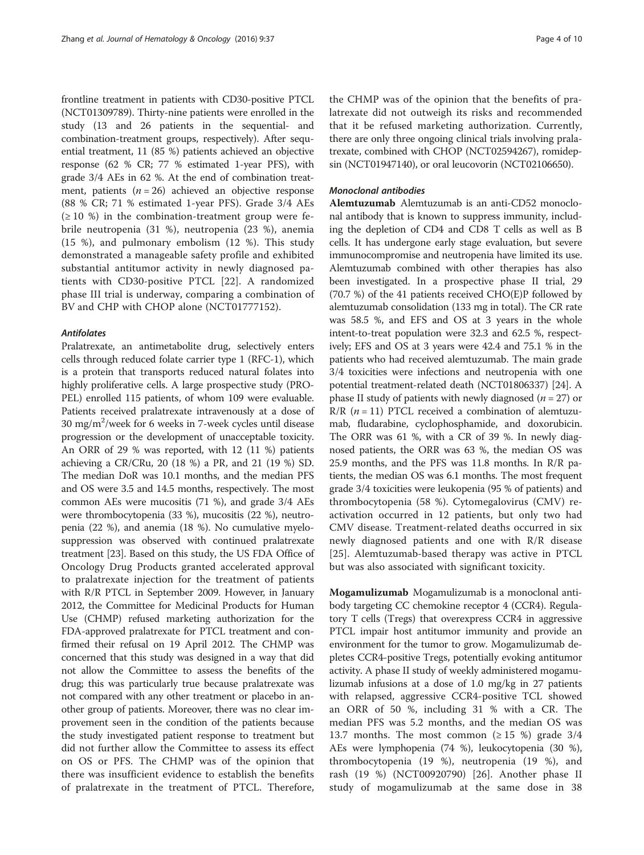frontline treatment in patients with CD30-positive PTCL (NCT01309789). Thirty-nine patients were enrolled in the study (13 and 26 patients in the sequential- and combination-treatment groups, respectively). After sequential treatment, 11 (85 %) patients achieved an objective response (62 % CR; 77 % estimated 1-year PFS), with grade 3/4 AEs in 62 %. At the end of combination treatment, patients ( $n = 26$ ) achieved an objective response (88 % CR; 71 % estimated 1-year PFS). Grade 3/4 AEs  $(≥ 10 %)$  in the combination-treatment group were febrile neutropenia (31 %), neutropenia (23 %), anemia (15 %), and pulmonary embolism (12 %). This study demonstrated a manageable safety profile and exhibited substantial antitumor activity in newly diagnosed patients with CD30-positive PTCL [[22\]](#page-8-0). A randomized phase III trial is underway, comparing a combination of BV and CHP with CHOP alone (NCT01777152).

#### Antifolates

Pralatrexate, an antimetabolite drug, selectively enters cells through reduced folate carrier type 1 (RFC-1), which is a protein that transports reduced natural folates into highly proliferative cells. A large prospective study (PRO-PEL) enrolled 115 patients, of whom 109 were evaluable. Patients received pralatrexate intravenously at a dose of 30 mg/m2 /week for 6 weeks in 7-week cycles until disease progression or the development of unacceptable toxicity. An ORR of 29 % was reported, with 12 (11 %) patients achieving a CR/CRu, 20 (18 %) a PR, and 21 (19 %) SD. The median DoR was 10.1 months, and the median PFS and OS were 3.5 and 14.5 months, respectively. The most common AEs were mucositis (71 %), and grade 3/4 AEs were thrombocytopenia (33 %), mucositis (22 %), neutropenia (22 %), and anemia (18 %). No cumulative myelosuppression was observed with continued pralatrexate treatment [[23\]](#page-8-0). Based on this study, the US FDA Office of Oncology Drug Products granted accelerated approval to pralatrexate injection for the treatment of patients with R/R PTCL in September 2009. However, in January 2012, the Committee for Medicinal Products for Human Use (CHMP) refused marketing authorization for the FDA-approved pralatrexate for PTCL treatment and confirmed their refusal on 19 April 2012. The CHMP was concerned that this study was designed in a way that did not allow the Committee to assess the benefits of the drug; this was particularly true because pralatrexate was not compared with any other treatment or placebo in another group of patients. Moreover, there was no clear improvement seen in the condition of the patients because the study investigated patient response to treatment but did not further allow the Committee to assess its effect on OS or PFS. The CHMP was of the opinion that there was insufficient evidence to establish the benefits of pralatrexate in the treatment of PTCL. Therefore,

the CHMP was of the opinion that the benefits of pralatrexate did not outweigh its risks and recommended that it be refused marketing authorization. Currently, there are only three ongoing clinical trials involving pralatrexate, combined with CHOP (NCT02594267), romidepsin (NCT01947140), or oral leucovorin (NCT02106650).

## Monoclonal antibodies

Alemtuzumab Alemtuzumab is an anti-CD52 monoclonal antibody that is known to suppress immunity, including the depletion of CD4 and CD8 T cells as well as B cells. It has undergone early stage evaluation, but severe immunocompromise and neutropenia have limited its use. Alemtuzumab combined with other therapies has also been investigated. In a prospective phase II trial, 29 (70.7 %) of the 41 patients received CHO(E)P followed by alemtuzumab consolidation (133 mg in total). The CR rate was 58.5 %, and EFS and OS at 3 years in the whole intent-to-treat population were 32.3 and 62.5 %, respectively; EFS and OS at 3 years were 42.4 and 75.1 % in the patients who had received alemtuzumab. The main grade 3/4 toxicities were infections and neutropenia with one potential treatment-related death (NCT01806337) [[24](#page-8-0)]. A phase II study of patients with newly diagnosed ( $n = 27$ ) or  $R/R$  ( $n = 11$ ) PTCL received a combination of alemtuzumab, fludarabine, cyclophosphamide, and doxorubicin. The ORR was 61 %, with a CR of 39 %. In newly diagnosed patients, the ORR was 63 %, the median OS was 25.9 months, and the PFS was 11.8 months. In R/R patients, the median OS was 6.1 months. The most frequent grade 3/4 toxicities were leukopenia (95 % of patients) and thrombocytopenia (58 %). Cytomegalovirus (CMV) reactivation occurred in 12 patients, but only two had CMV disease. Treatment-related deaths occurred in six newly diagnosed patients and one with R/R disease [[25\]](#page-8-0). Alemtuzumab-based therapy was active in PTCL but was also associated with significant toxicity.

Mogamulizumab Mogamulizumab is a monoclonal antibody targeting CC chemokine receptor 4 (CCR4). Regulatory T cells (Tregs) that overexpress CCR4 in aggressive PTCL impair host antitumor immunity and provide an environment for the tumor to grow. Mogamulizumab depletes CCR4-positive Tregs, potentially evoking antitumor activity. A phase II study of weekly administered mogamulizumab infusions at a dose of 1.0 mg/kg in 27 patients with relapsed, aggressive CCR4-positive TCL showed an ORR of 50 %, including 31 % with a CR. The median PFS was 5.2 months, and the median OS was 13.7 months. The most common  $(≥ 15 %)$  grade 3/4 AEs were lymphopenia (74 %), leukocytopenia (30 %), thrombocytopenia (19 %), neutropenia (19 %), and rash (19 %) (NCT00920790) [\[26](#page-8-0)]. Another phase II study of mogamulizumab at the same dose in 38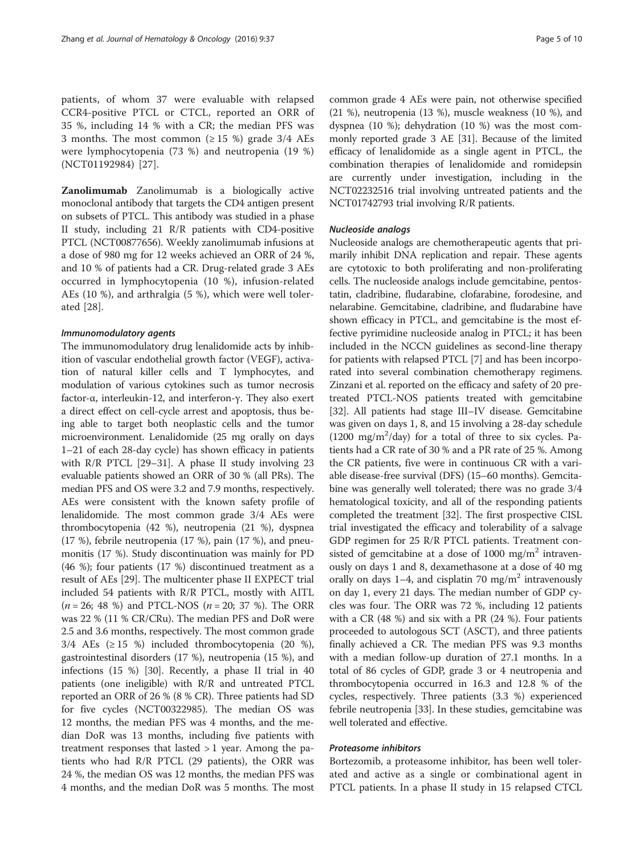patients, of whom 37 were evaluable with relapsed CCR4-positive PTCL or CTCL, reported an ORR of 35 %, including 14 % with a CR; the median PFS was 3 months. The most common  $(≥ 15%)$  grade 3/4 AEs were lymphocytopenia (73 %) and neutropenia (19 %) (NCT01192984) [[27\]](#page-8-0).

Zanolimumab Zanolimumab is a biologically active monoclonal antibody that targets the CD4 antigen present on subsets of PTCL. This antibody was studied in a phase II study, including 21 R/R patients with CD4-positive PTCL (NCT00877656). Weekly zanolimumab infusions at a dose of 980 mg for 12 weeks achieved an ORR of 24 %, and 10 % of patients had a CR. Drug-related grade 3 AEs occurred in lymphocytopenia (10 %), infusion-related AEs (10 %), and arthralgia (5 %), which were well tolerated [\[28](#page-8-0)].

#### Immunomodulatory agents

The immunomodulatory drug lenalidomide acts by inhibition of vascular endothelial growth factor (VEGF), activation of natural killer cells and T lymphocytes, and modulation of various cytokines such as tumor necrosis factor-α, interleukin-12, and interferon-γ. They also exert a direct effect on cell-cycle arrest and apoptosis, thus being able to target both neoplastic cells and the tumor microenvironment. Lenalidomide (25 mg orally on days 1–21 of each 28-day cycle) has shown efficacy in patients with R/R PTCL [[29](#page-8-0)–[31\]](#page-8-0). A phase II study involving 23 evaluable patients showed an ORR of 30 % (all PRs). The median PFS and OS were 3.2 and 7.9 months, respectively. AEs were consistent with the known safety profile of lenalidomide. The most common grade 3/4 AEs were thrombocytopenia (42 %), neutropenia (21 %), dyspnea (17 %), febrile neutropenia (17 %), pain (17 %), and pneumonitis (17 %). Study discontinuation was mainly for PD (46 %); four patients (17 %) discontinued treatment as a result of AEs [[29](#page-8-0)]. The multicenter phase II EXPECT trial included 54 patients with R/R PTCL, mostly with AITL  $(n = 26; 48 \%)$  and PTCL-NOS  $(n = 20; 37 \%)$ . The ORR was 22 % (11 % CR/CRu). The median PFS and DoR were 2.5 and 3.6 months, respectively. The most common grade 3/4 AEs  $(≥ 15 %)$  included thrombocytopenia  $(20 %)$ , gastrointestinal disorders (17 %), neutropenia (15 %), and infections (15 %) [[30](#page-8-0)]. Recently, a phase II trial in 40 patients (one ineligible) with R/R and untreated PTCL reported an ORR of 26 % (8 % CR). Three patients had SD for five cycles (NCT00322985). The median OS was 12 months, the median PFS was 4 months, and the median DoR was 13 months, including five patients with treatment responses that lasted > 1 year. Among the patients who had R/R PTCL (29 patients), the ORR was 24 %, the median OS was 12 months, the median PFS was 4 months, and the median DoR was 5 months. The most common grade 4 AEs were pain, not otherwise specified (21 %), neutropenia (13 %), muscle weakness (10 %), and dyspnea (10 %); dehydration (10 %) was the most commonly reported grade 3 AE [[31](#page-8-0)]. Because of the limited efficacy of lenalidomide as a single agent in PTCL, the combination therapies of lenalidomide and romidepsin are currently under investigation, including in the NCT02232516 trial involving untreated patients and the NCT01742793 trial involving R/R patients.

## Nucleoside analogs

Nucleoside analogs are chemotherapeutic agents that primarily inhibit DNA replication and repair. These agents are cytotoxic to both proliferating and non-proliferating cells. The nucleoside analogs include gemcitabine, pentostatin, cladribine, fludarabine, clofarabine, forodesine, and nelarabine. Gemcitabine, cladribine, and fludarabine have shown efficacy in PTCL, and gemcitabine is the most effective pyrimidine nucleoside analog in PTCL; it has been included in the NCCN guidelines as second-line therapy for patients with relapsed PTCL [\[7](#page-8-0)] and has been incorporated into several combination chemotherapy regimens. Zinzani et al. reported on the efficacy and safety of 20 pretreated PTCL-NOS patients treated with gemcitabine [[32](#page-8-0)]. All patients had stage III–IV disease. Gemcitabine was given on days 1, 8, and 15 involving a 28-day schedule (1200 mg/m<sup>2</sup>/day) for a total of three to six cycles. Patients had a CR rate of 30 % and a PR rate of 25 %. Among the CR patients, five were in continuous CR with a variable disease-free survival (DFS) (15–60 months). Gemcitabine was generally well tolerated; there was no grade 3/4 hematological toxicity, and all of the responding patients completed the treatment [\[32\]](#page-8-0). The first prospective CISL trial investigated the efficacy and tolerability of a salvage GDP regimen for 25 R/R PTCL patients. Treatment consisted of gemcitabine at a dose of 1000 mg/m<sup>2</sup> intravenously on days 1 and 8, dexamethasone at a dose of 40 mg orally on days 1–4, and cisplatin 70 mg/m<sup>2</sup> intravenously on day 1, every 21 days. The median number of GDP cycles was four. The ORR was 72 %, including 12 patients with a CR (48 %) and six with a PR (24 %). Four patients proceeded to autologous SCT (ASCT), and three patients finally achieved a CR. The median PFS was 9.3 months with a median follow-up duration of 27.1 months. In a total of 86 cycles of GDP, grade 3 or 4 neutropenia and thrombocytopenia occurred in 16.3 and 12.8 % of the cycles, respectively. Three patients (3.3 %) experienced febrile neutropenia [[33](#page-8-0)]. In these studies, gemcitabine was well tolerated and effective.

## Proteasome inhibitors

Bortezomib, a proteasome inhibitor, has been well tolerated and active as a single or combinational agent in PTCL patients. In a phase II study in 15 relapsed CTCL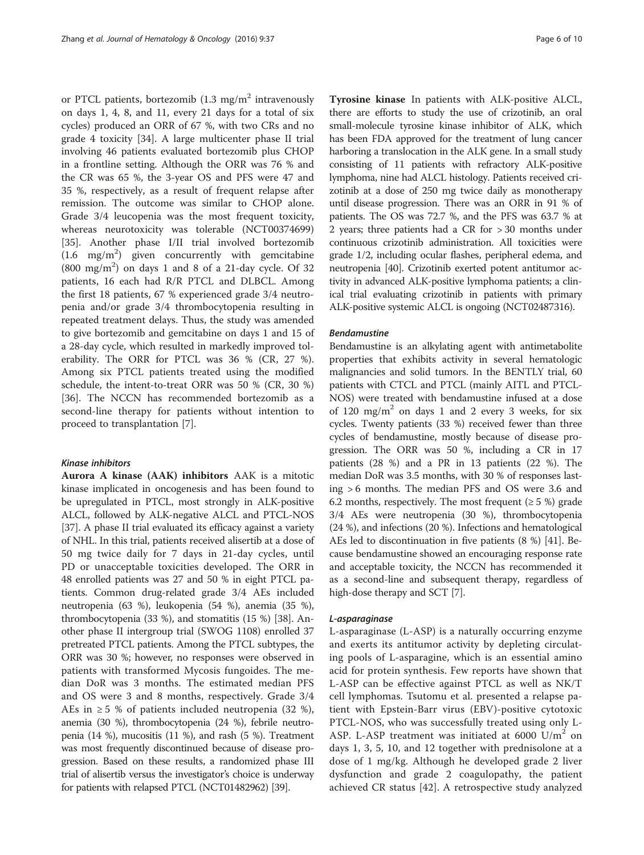or PTCL patients, bortezomib  $(1.3 \text{ mg/m}^2 \text{ intravenously}$ on days 1, 4, 8, and 11, every 21 days for a total of six cycles) produced an ORR of 67 %, with two CRs and no grade 4 toxicity [[34\]](#page-9-0). A large multicenter phase II trial involving 46 patients evaluated bortezomib plus CHOP in a frontline setting. Although the ORR was 76 % and the CR was 65 %, the 3-year OS and PFS were 47 and 35 %, respectively, as a result of frequent relapse after remission. The outcome was similar to CHOP alone. Grade 3/4 leucopenia was the most frequent toxicity, whereas neurotoxicity was tolerable (NCT00374699) [[35\]](#page-9-0). Another phase I/II trial involved bortezomib  $(1.6 \text{ mg/m}^2)$  given concurrently with gemcitabine  $(800 \text{ mg/m}^2)$  on days 1 and 8 of a 21-day cycle. Of 32 patients, 16 each had R/R PTCL and DLBCL. Among the first 18 patients, 67 % experienced grade 3/4 neutropenia and/or grade 3/4 thrombocytopenia resulting in repeated treatment delays. Thus, the study was amended to give bortezomib and gemcitabine on days 1 and 15 of a 28-day cycle, which resulted in markedly improved tolerability. The ORR for PTCL was 36 % (CR, 27 %). Among six PTCL patients treated using the modified schedule, the intent-to-treat ORR was 50 % (CR, 30 %) [[36\]](#page-9-0). The NCCN has recommended bortezomib as a second-line therapy for patients without intention to proceed to transplantation [\[7](#page-8-0)].

#### Kinase inhibitors

Aurora A kinase (AAK) inhibitors AAK is a mitotic kinase implicated in oncogenesis and has been found to be upregulated in PTCL, most strongly in ALK-positive ALCL, followed by ALK-negative ALCL and PTCL-NOS [[37](#page-9-0)]. A phase II trial evaluated its efficacy against a variety of NHL. In this trial, patients received alisertib at a dose of 50 mg twice daily for 7 days in 21-day cycles, until PD or unacceptable toxicities developed. The ORR in 48 enrolled patients was 27 and 50 % in eight PTCL patients. Common drug-related grade 3/4 AEs included neutropenia (63 %), leukopenia (54 %), anemia (35 %), thrombocytopenia (33 %), and stomatitis (15 %) [[38](#page-9-0)]. Another phase II intergroup trial (SWOG 1108) enrolled 37 pretreated PTCL patients. Among the PTCL subtypes, the ORR was 30 %; however, no responses were observed in patients with transformed Mycosis fungoides. The median DoR was 3 months. The estimated median PFS and OS were 3 and 8 months, respectively. Grade 3/4 AEs in  $\geq$  5 % of patients included neutropenia (32 %), anemia (30 %), thrombocytopenia (24 %), febrile neutropenia (14 %), mucositis (11 %), and rash (5 %). Treatment was most frequently discontinued because of disease progression. Based on these results, a randomized phase III trial of alisertib versus the investigator's choice is underway for patients with relapsed PTCL (NCT01482962) [\[39\]](#page-9-0).

Tyrosine kinase In patients with ALK-positive ALCL, there are efforts to study the use of crizotinib, an oral small-molecule tyrosine kinase inhibitor of ALK, which has been FDA approved for the treatment of lung cancer harboring a translocation in the ALK gene. In a small study consisting of 11 patients with refractory ALK-positive lymphoma, nine had ALCL histology. Patients received crizotinib at a dose of 250 mg twice daily as monotherapy until disease progression. There was an ORR in 91 % of patients. The OS was 72.7 %, and the PFS was 63.7 % at 2 years; three patients had a CR for > 30 months under continuous crizotinib administration. All toxicities were grade 1/2, including ocular flashes, peripheral edema, and neutropenia [\[40\]](#page-9-0). Crizotinib exerted potent antitumor activity in advanced ALK-positive lymphoma patients; a clinical trial evaluating crizotinib in patients with primary ALK-positive systemic ALCL is ongoing (NCT02487316).

## Bendamustine

Bendamustine is an alkylating agent with antimetabolite properties that exhibits activity in several hematologic malignancies and solid tumors. In the BENTLY trial, 60 patients with CTCL and PTCL (mainly AITL and PTCL-NOS) were treated with bendamustine infused at a dose of 120 mg/m<sup>2</sup> on days 1 and 2 every 3 weeks, for six cycles. Twenty patients (33 %) received fewer than three cycles of bendamustine, mostly because of disease progression. The ORR was 50 %, including a CR in 17 patients (28 %) and a PR in 13 patients (22 %). The median DoR was 3.5 months, with 30 % of responses lasting > 6 months. The median PFS and OS were 3.6 and 6.2 months, respectively. The most frequent ( $\geq$  5 %) grade 3/4 AEs were neutropenia (30 %), thrombocytopenia (24 %), and infections (20 %). Infections and hematological AEs led to discontinuation in five patients (8 %) [[41](#page-9-0)]. Because bendamustine showed an encouraging response rate and acceptable toxicity, the NCCN has recommended it as a second-line and subsequent therapy, regardless of high-dose therapy and SCT [\[7](#page-8-0)].

#### L-asparaginase

L-asparaginase (L-ASP) is a naturally occurring enzyme and exerts its antitumor activity by depleting circulating pools of L-asparagine, which is an essential amino acid for protein synthesis. Few reports have shown that L-ASP can be effective against PTCL as well as NK/T cell lymphomas. Tsutomu et al. presented a relapse patient with Epstein-Barr virus (EBV)-positive cytotoxic PTCL-NOS, who was successfully treated using only L-ASP. L-ASP treatment was initiated at 6000  $U/m^2$  on days 1, 3, 5, 10, and 12 together with prednisolone at a dose of 1 mg/kg. Although he developed grade 2 liver dysfunction and grade 2 coagulopathy, the patient achieved CR status [[42](#page-9-0)]. A retrospective study analyzed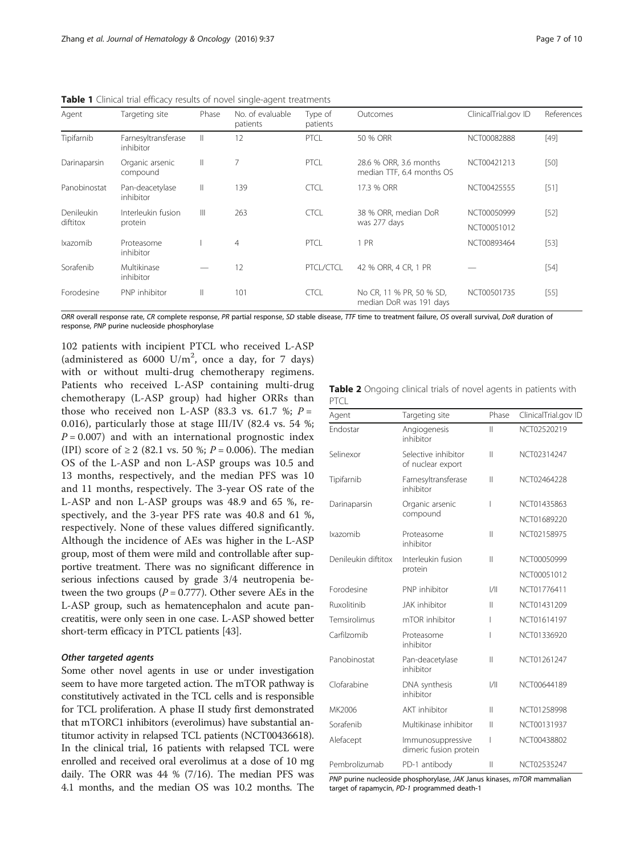| Agent                  | Targeting site                   | Phase        | No. of evaluable<br>patients | Type of<br>patients | Outcomes                                            | ClinicalTrial.gov ID       | References |
|------------------------|----------------------------------|--------------|------------------------------|---------------------|-----------------------------------------------------|----------------------------|------------|
| Tipifarnib             | Farnesyltransferase<br>inhibitor | Ш            | 12                           | PTCL                | 50 % ORR                                            | NCT00082888                | $[49]$     |
| Darinaparsin           | Organic arsenic<br>compound      | Ш            | 7                            | <b>PTCL</b>         | 28.6 % ORR, 3.6 months<br>median TTF, 6.4 months OS | NCT00421213                | $[50]$     |
| Panobinostat           | Pan-deacetylase<br>inhibitor     | Ш            | 139                          | <b>CTCL</b>         | 17.3 % ORR                                          | NCT00425555                | $[51]$     |
| Denileukin<br>diftitox | Interleukin fusion<br>protein    | $\mathbb{H}$ | 263                          | CTCL                | 38 % ORR, median DoR<br>was 277 days                | NCT00050999<br>NCT00051012 | $[52]$     |
| Ixazomib               | Proteasome<br>inhibitor          |              | $\overline{4}$               | PTCL                | 1 PR                                                | NCT00893464                | $[53]$     |
| Sorafenib              | Multikinase<br>inhibitor         |              | 12                           | PTCL/CTCL           | 42 % ORR, 4 CR, 1 PR                                |                            | $[54]$     |
| Forodesine             | PNP inhibitor                    | Ш            | 101                          | <b>CTCL</b>         | No CR, 11 % PR, 50 % SD,<br>median DoR was 191 days | NCT00501735                | $[55]$     |

<span id="page-6-0"></span>Table 1 Clinical trial efficacy results of novel single-agent treatments

ORR overall response rate, CR complete response, PR partial response, SD stable disease, TTF time to treatment failure, OS overall survival, DoR duration of response, PNP purine nucleoside phosphorylase

102 patients with incipient PTCL who received L-ASP (administered as 6000  $U/m^2$ , once a day, for 7 days) with or without multi-drug chemotherapy regimens. Patients who received L-ASP containing multi-drug chemotherapy (L-ASP group) had higher ORRs than those who received non L-ASP (83.3 vs. 61.7 %;  $P =$ 0.016), particularly those at stage III/IV (82.4 vs. 54 %;  $P = 0.007$ ) and with an international prognostic index (IPI) score of  $\geq 2$  (82.1 vs. 50 %; P = 0.006). The median OS of the L-ASP and non L-ASP groups was 10.5 and 13 months, respectively, and the median PFS was 10 and 11 months, respectively. The 3-year OS rate of the L-ASP and non L-ASP groups was 48.9 and 65 %, respectively, and the 3-year PFS rate was 40.8 and 61 %, respectively. None of these values differed significantly. Although the incidence of AEs was higher in the L-ASP group, most of them were mild and controllable after supportive treatment. There was no significant difference in serious infections caused by grade 3/4 neutropenia between the two groups ( $P = 0.777$ ). Other severe AEs in the L-ASP group, such as hematencephalon and acute pancreatitis, were only seen in one case. L-ASP showed better short-term efficacy in PTCL patients [[43](#page-9-0)].

#### Other targeted agents

Some other novel agents in use or under investigation seem to have more targeted action. The mTOR pathway is constitutively activated in the TCL cells and is responsible for TCL proliferation. A phase II study first demonstrated that mTORC1 inhibitors (everolimus) have substantial antitumor activity in relapsed TCL patients (NCT00436618). In the clinical trial, 16 patients with relapsed TCL were enrolled and received oral everolimus at a dose of 10 mg daily. The ORR was 44 % (7/16). The median PFS was 4.1 months, and the median OS was 10.2 months. The

Table 2 Ongoing clinical trials of novel agents in patients with PTCL

|                     |                                             | Phase         |                      |
|---------------------|---------------------------------------------|---------------|----------------------|
| Agent               | Targeting site                              |               | ClinicalTrial.gov ID |
| Endostar            | Angiogenesis<br>inhibitor                   | $\mathsf{II}$ | NCT02520219          |
| Selinexor           | Selective inhibitor<br>of nuclear export    | $\mathbf{  }$ | NCT02314247          |
| Tipifarnib          | Farnesyltransferase<br>inhibitor            | $\mathbf{I}$  | NCT02464228          |
| Darinaparsin        | Organic arsenic                             | I             | NCT01435863          |
|                     | compound                                    |               | NCT01689220          |
| Ixazomib            | Proteasome<br>inhibitor                     | $\mathbf{I}$  | NCT02158975          |
| Denileukin diftitox | Interleukin fusion                          | $\mathsf{II}$ | NCT00050999          |
|                     | protein                                     |               | NCT00051012          |
| Forodesine          | PNP inhibitor                               | 1/11          | NCT01776411          |
| Ruxolitinib         | <b>JAK</b> inhibitor                        | $\mathbf{I}$  | NCT01431209          |
| Temsirolimus        | mTOR inhibitor                              | I             | NCT01614197          |
| Carfilzomib         | Proteasome<br>inhibitor                     | I             | NCT01336920          |
| Panobinostat        | Pan-deacetylase<br>inhibitor                | $\mathsf{II}$ | NCT01261247          |
| Clofarabine         | DNA synthesis<br>inhibitor                  | 1/11          | NCT00644189          |
| MK2006              | AKT inhibitor                               | $\mathsf{II}$ | NCT01258998          |
| Sorafenib           | Multikinase inhibitor                       | $\mathbf{I}$  | NCT00131937          |
| Alefacept           | Immunosuppressive<br>dimeric fusion protein | I             | NCT00438802          |
| Pembrolizumab       | PD-1 antibody                               | $\mathsf{II}$ | NCT02535247          |

PNP purine nucleoside phosphorylase, JAK Janus kinases, mTOR mammalian target of rapamycin, PD-1 programmed death-1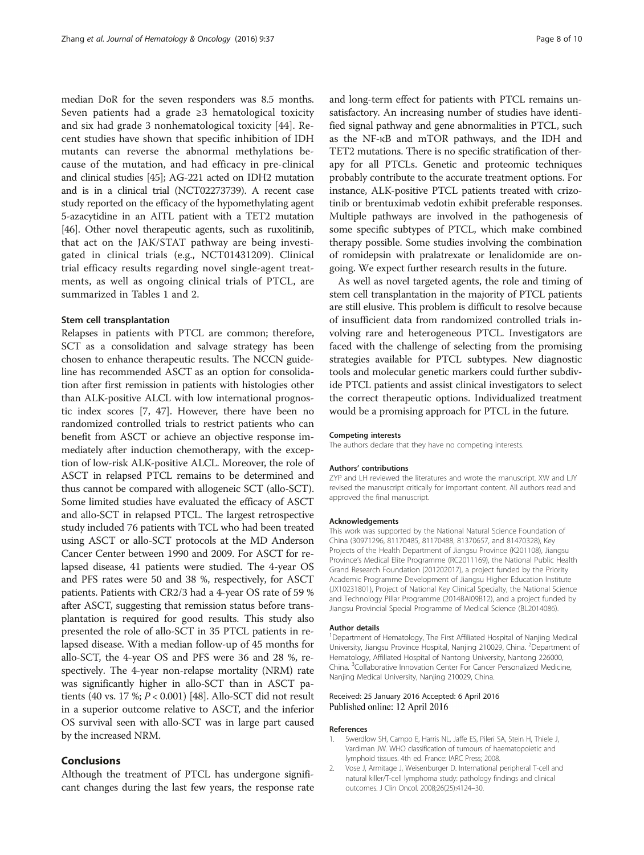<span id="page-7-0"></span>median DoR for the seven responders was 8.5 months. Seven patients had a grade ≥3 hematological toxicity and six had grade 3 nonhematological toxicity [[44\]](#page-9-0). Recent studies have shown that specific inhibition of IDH mutants can reverse the abnormal methylations because of the mutation, and had efficacy in pre-clinical and clinical studies [[45](#page-9-0)]; AG-221 acted on IDH2 mutation and is in a clinical trial (NCT02273739). A recent case study reported on the efficacy of the hypomethylating agent 5-azacytidine in an AITL patient with a TET2 mutation [[46](#page-9-0)]. Other novel therapeutic agents, such as ruxolitinib, that act on the JAK/STAT pathway are being investigated in clinical trials (e.g., NCT01431209). Clinical trial efficacy results regarding novel single-agent treatments, as well as ongoing clinical trials of PTCL, are summarized in Tables [1](#page-6-0) and [2](#page-6-0).

#### Stem cell transplantation

Relapses in patients with PTCL are common; therefore, SCT as a consolidation and salvage strategy has been chosen to enhance therapeutic results. The NCCN guideline has recommended ASCT as an option for consolidation after first remission in patients with histologies other than ALK-positive ALCL with low international prognostic index scores [\[7,](#page-8-0) [47\]](#page-9-0). However, there have been no randomized controlled trials to restrict patients who can benefit from ASCT or achieve an objective response immediately after induction chemotherapy, with the exception of low-risk ALK-positive ALCL. Moreover, the role of ASCT in relapsed PTCL remains to be determined and thus cannot be compared with allogeneic SCT (allo-SCT). Some limited studies have evaluated the efficacy of ASCT and allo-SCT in relapsed PTCL. The largest retrospective study included 76 patients with TCL who had been treated using ASCT or allo-SCT protocols at the MD Anderson Cancer Center between 1990 and 2009. For ASCT for relapsed disease, 41 patients were studied. The 4-year OS and PFS rates were 50 and 38 %, respectively, for ASCT patients. Patients with CR2/3 had a 4-year OS rate of 59 % after ASCT, suggesting that remission status before transplantation is required for good results. This study also presented the role of allo-SCT in 35 PTCL patients in relapsed disease. With a median follow-up of 45 months for allo-SCT, the 4-year OS and PFS were 36 and 28 %, respectively. The 4-year non-relapse mortality (NRM) rate was significantly higher in allo-SCT than in ASCT patients (40 vs. 17 %; P < 0.001) [\[48\]](#page-9-0). Allo-SCT did not result in a superior outcome relative to ASCT, and the inferior OS survival seen with allo-SCT was in large part caused by the increased NRM.

## Conclusions

Although the treatment of PTCL has undergone significant changes during the last few years, the response rate and long-term effect for patients with PTCL remains unsatisfactory. An increasing number of studies have identified signal pathway and gene abnormalities in PTCL, such as the NF-κB and mTOR pathways, and the IDH and TET2 mutations. There is no specific stratification of therapy for all PTCLs. Genetic and proteomic techniques probably contribute to the accurate treatment options. For instance, ALK-positive PTCL patients treated with crizotinib or brentuximab vedotin exhibit preferable responses. Multiple pathways are involved in the pathogenesis of some specific subtypes of PTCL, which make combined therapy possible. Some studies involving the combination of romidepsin with pralatrexate or lenalidomide are ongoing. We expect further research results in the future.

As well as novel targeted agents, the role and timing of stem cell transplantation in the majority of PTCL patients are still elusive. This problem is difficult to resolve because of insufficient data from randomized controlled trials involving rare and heterogeneous PTCL. Investigators are faced with the challenge of selecting from the promising strategies available for PTCL subtypes. New diagnostic tools and molecular genetic markers could further subdivide PTCL patients and assist clinical investigators to select the correct therapeutic options. Individualized treatment would be a promising approach for PTCL in the future.

#### Competing interests

The authors declare that they have no competing interests.

#### Authors' contributions

ZYP and LH reviewed the literatures and wrote the manuscript. XW and LJY revised the manuscript critically for important content. All authors read and approved the final manuscript.

#### Acknowledgements

This work was supported by the National Natural Science Foundation of China (30971296, 81170485, 81170488, 81370657, and 81470328), Key Projects of the Health Department of Jiangsu Province (K201108), Jiangsu Province's Medical Elite Programme (RC2011169), the National Public Health Grand Research Foundation (201202017), a project funded by the Priority Academic Programme Development of Jiangsu Higher Education Institute (JX10231801), Project of National Key Clinical Specialty, the National Science and Technology Pillar Programme (2014BAI09B12), and a project funded by Jiangsu Provincial Special Programme of Medical Science (BL2014086).

#### Author details

<sup>1</sup>Department of Hematology, The First Affiliated Hospital of Nanjing Medical University, Jiangsu Province Hospital, Nanjing 210029, China. <sup>2</sup>Department of Hematology, Affiliated Hospital of Nantong University, Nantong 226000, China. <sup>3</sup> Collaborative Innovation Center For Cancer Personalized Medicine, Nanjing Medical University, Nanjing 210029, China.

#### Received: 25 January 2016 Accepted: 6 April 2016 Published online: 12 April 2016

#### References

- 1. Swerdlow SH, Campo E, Harris NL, Jaffe ES, Pileri SA, Stein H, Thiele J, Vardiman JW. WHO classification of tumours of haematopoietic and lymphoid tissues. 4th ed. France: IARC Press; 2008.
- 2. Vose J, Armitage J, Weisenburger D. International peripheral T-cell and natural killer/T-cell lymphoma study: pathology findings and clinical outcomes. J Clin Oncol. 2008;26(25):4124–30.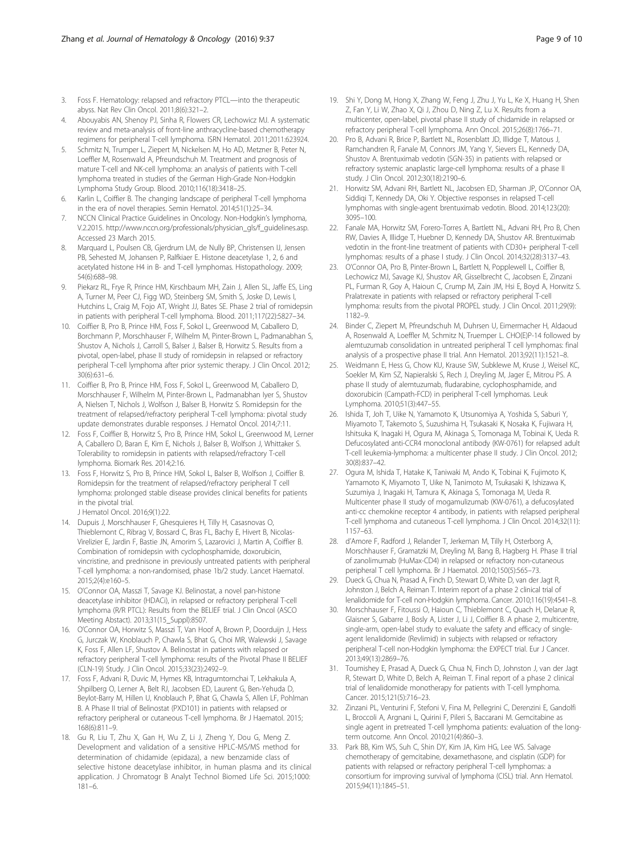- <span id="page-8-0"></span>3. Foss F. Hematology: relapsed and refractory PTCL—into the therapeutic abyss. Nat Rev Clin Oncol. 2011;8(6):321–2.
- 4. Abouyabis AN, Shenoy PJ, Sinha R, Flowers CR, Lechowicz MJ. A systematic review and meta-analysis of front-line anthracycline-based chemotherapy regimens for peripheral T-cell lymphoma. ISRN Hematol. 2011;2011:623924.
- 5. Schmitz N, Trumper L, Ziepert M, Nickelsen M, Ho AD, Metzner B, Peter N, Loeffler M, Rosenwald A, Pfreundschuh M. Treatment and prognosis of mature T-cell and NK-cell lymphoma: an analysis of patients with T-cell lymphoma treated in studies of the German High-Grade Non-Hodgkin Lymphoma Study Group. Blood. 2010;116(18):3418–25.
- Karlin L, Coiffier B. The changing landscape of peripheral T-cell lymphoma in the era of novel therapies. Semin Hematol. 2014;51(1):25–34.
- 7. NCCN Clinical Practice Guidelines in Oncology. Non-Hodgkin's lymphoma, V.2.2015. [http://www.nccn.org/professionals/physician\\_gls/f\\_guidelines.asp](http://www.nccn.org/professionals/physician_gls/f_guidelines.asp). Accessed 23 March 2015.
- 8. Marquard L, Poulsen CB, Gjerdrum LM, de Nully BP, Christensen IJ, Jensen PB, Sehested M, Johansen P, Ralfkiaer E. Histone deacetylase 1, 2, 6 and acetylated histone H4 in B- and T-cell lymphomas. Histopathology. 2009; 54(6):688–98.
- 9. Piekarz RL, Frye R, Prince HM, Kirschbaum MH, Zain J, Allen SL, Jaffe ES, Ling A, Turner M, Peer CJ, Figg WD, Steinberg SM, Smith S, Joske D, Lewis I, Hutchins L, Craig M, Fojo AT, Wright JJ, Bates SE. Phase 2 trial of romidepsin in patients with peripheral T-cell lymphoma. Blood. 2011;117(22):5827–34.
- 10. Coiffier B, Pro B, Prince HM, Foss F, Sokol L, Greenwood M, Caballero D, Borchmann P, Morschhauser F, Wilhelm M, Pinter-Brown L, Padmanabhan S, Shustov A, Nichols J, Carroll S, Balser J, Balser B, Horwitz S. Results from a pivotal, open-label, phase II study of romidepsin in relapsed or refractory peripheral T-cell lymphoma after prior systemic therapy. J Clin Oncol. 2012; 30(6):631–6.
- 11. Coiffier B, Pro B, Prince HM, Foss F, Sokol L, Greenwood M, Caballero D, Morschhauser F, Wilhelm M, Pinter-Brown L, Padmanabhan Iyer S, Shustov A, Nielsen T, Nichols J, Wolfson J, Balser B, Horwitz S. Romidepsin for the treatment of relapsed/refractory peripheral T-cell lymphoma: pivotal study update demonstrates durable responses. J Hematol Oncol. 2014;7:11.
- 12. Foss F, Coiffier B, Horwitz S, Pro B, Prince HM, Sokol L, Greenwood M, Lerner A, Caballero D, Baran E, Kim E, Nichols J, Balser B, Wolfson J, Whittaker S. Tolerability to romidepsin in patients with relapsed/refractory T-cell lymphoma. Biomark Res. 2014;2:16.
- 13. Foss F, Horwitz S, Pro B, Prince HM, Sokol L, Balser B, Wolfson J, Coiffier B. Romidepsin for the treatment of relapsed/refractory peripheral T cell lymphoma: prolonged stable disease provides clinical benefits for patients in the pivotal trial.
	- J Hematol Oncol. 2016;9(1):22.
- 14. Dupuis J, Morschhauser F, Ghesquieres H, Tilly H, Casasnovas O, Thieblemont C, Ribrag V, Bossard C, Bras FL, Bachy E, Hivert B, Nicolas-Virelizier E, Jardin F, Bastie JN, Amorim S, Lazarovici J, Martin A, Coiffier B. Combination of romidepsin with cyclophosphamide, doxorubicin, vincristine, and prednisone in previously untreated patients with peripheral T-cell lymphoma: a non-randomised, phase 1b/2 study. Lancet Haematol. 2015;2(4):e160–5.
- 15. O'Connor OA, Masszi T, Savage KJ. Belinostat, a novel pan-histone deacetylase inhibitor (HDACi), in relapsed or refractory peripheral T-cell lymphoma (R/R PTCL): Results from the BELIEF trial. J Clin Oncol (ASCO Meeting Abstact). 2013;31(15\_Suppl):8507.
- 16. O'Connor OA, Horwitz S, Masszi T, Van Hoof A, Brown P, Doorduijn J, Hess G, Jurczak W, Knoblauch P, Chawla S, Bhat G, Choi MR, Walewski J, Savage K, Foss F, Allen LF, Shustov A. Belinostat in patients with relapsed or refractory peripheral T-cell lymphoma: results of the Pivotal Phase II BELIEF (CLN-19) Study. J Clin Oncol. 2015;33(23):2492–9.
- 17. Foss F, Advani R, Duvic M, Hymes KB, Intragumtornchai T, Lekhakula A, Shpilberg O, Lerner A, Belt RJ, Jacobsen ED, Laurent G, Ben-Yehuda D, Beylot-Barry M, Hillen U, Knoblauch P, Bhat G, Chawla S, Allen LF, Pohlman B. A Phase II trial of Belinostat (PXD101) in patients with relapsed or refractory peripheral or cutaneous T-cell lymphoma. Br J Haematol. 2015; 168(6):811–9.
- 18. Gu R, Liu T, Zhu X, Gan H, Wu Z, Li J, Zheng Y, Dou G, Meng Z. Development and validation of a sensitive HPLC-MS/MS method for determination of chidamide (epidaza), a new benzamide class of selective histone deacetylase inhibitor, in human plasma and its clinical application. J Chromatogr B Analyt Technol Biomed Life Sci. 2015;1000: 181–6.
- 19. Shi Y, Dong M, Hong X, Zhang W, Feng J, Zhu J, Yu L, Ke X, Huang H, Shen Z, Fan Y, Li W, Zhao X, Qi J, Zhou D, Ning Z, Lu X. Results from a multicenter, open-label, pivotal phase II study of chidamide in relapsed or refractory peripheral T-cell lymphoma. Ann Oncol. 2015;26(8):1766–71.
- 20. Pro B, Advani R, Brice P, Bartlett NL, Rosenblatt JD, Illidge T, Matous J, Ramchandren R, Fanale M, Connors JM, Yang Y, Sievers EL, Kennedy DA, Shustov A. Brentuximab vedotin (SGN-35) in patients with relapsed or refractory systemic anaplastic large-cell lymphoma: results of a phase II study. J Clin Oncol. 2012;30(18):2190–6.
- 21. Horwitz SM, Advani RH, Bartlett NL, Jacobsen ED, Sharman JP, O'Connor OA, Siddiqi T, Kennedy DA, Oki Y. Objective responses in relapsed T-cell lymphomas with single-agent brentuximab vedotin. Blood. 2014;123(20): 3095–100.
- 22. Fanale MA, Horwitz SM, Forero-Torres A, Bartlett NL, Advani RH, Pro B, Chen RW, Davies A, Illidge T, Huebner D, Kennedy DA, Shustov AR. Brentuximab vedotin in the front-line treatment of patients with CD30+ peripheral T-cell lymphomas: results of a phase I study. J Clin Oncol. 2014;32(28):3137–43.
- 23. O'Connor OA, Pro B, Pinter-Brown L, Bartlett N, Popplewell L, Coiffier B, Lechowicz MJ, Savage KJ, Shustov AR, Gisselbrecht C, Jacobsen E, Zinzani PL, Furman R, Goy A, Haioun C, Crump M, Zain JM, Hsi E, Boyd A, Horwitz S. Pralatrexate in patients with relapsed or refractory peripheral T-cell lymphoma: results from the pivotal PROPEL study. J Clin Oncol. 2011;29(9): 1182–9.
- 24. Binder C, Ziepert M, Pfreundschuh M, Duhrsen U, Eimermacher H, Aldaoud A, Rosenwald A, Loeffler M, Schmitz N, Truemper L. CHO(E)P-14 followed by alemtuzumab consolidation in untreated peripheral T cell lymphomas: final analysis of a prospective phase II trial. Ann Hematol. 2013;92(11):1521–8.
- 25. Weidmann E, Hess G, Chow KU, Krause SW, Subklewe M, Kruse J, Weisel KC, Soekler M, Kim SZ, Napieralski S, Rech J, Dreyling M, Jager E, Mitrou PS. A phase II study of alemtuzumab, fludarabine, cyclophosphamide, and doxorubicin (Campath-FCD) in peripheral T-cell lymphomas. Leuk Lymphoma. 2010;51(3):447–55.
- 26. Ishida T, Joh T, Uike N, Yamamoto K, Utsunomiya A, Yoshida S, Saburi Y, Miyamoto T, Takemoto S, Suzushima H, Tsukasaki K, Nosaka K, Fujiwara H, Ishitsuka K, Inagaki H, Ogura M, Akinaga S, Tomonaga M, Tobinai K, Ueda R. Defucosylated anti-CCR4 monoclonal antibody (KW-0761) for relapsed adult T-cell leukemia-lymphoma: a multicenter phase II study. J Clin Oncol. 2012; 30(8):837–42.
- 27. Ogura M, Ishida T, Hatake K, Taniwaki M, Ando K, Tobinai K, Fujimoto K, Yamamoto K, Miyamoto T, Uike N, Tanimoto M, Tsukasaki K, Ishizawa K, Suzumiya J, Inagaki H, Tamura K, Akinaga S, Tomonaga M, Ueda R. Multicenter phase II study of mogamulizumab (KW-0761), a defucosylated anti-cc chemokine receptor 4 antibody, in patients with relapsed peripheral T-cell lymphoma and cutaneous T-cell lymphoma. J Clin Oncol. 2014;32(11): 1157–63.
- 28. d'Amore F, Radford J, Relander T, Jerkeman M, Tilly H, Osterborg A, Morschhauser F, Gramatzki M, Dreyling M, Bang B, Hagberg H. Phase II trial of zanolimumab (HuMax-CD4) in relapsed or refractory non-cutaneous peripheral T cell lymphoma. Br J Haematol. 2010;150(5):565–73.
- 29. Dueck G, Chua N, Prasad A, Finch D, Stewart D, White D, van der Jagt R, Johnston J, Belch A, Reiman T. Interim report of a phase 2 clinical trial of lenalidomide for T-cell non-Hodgkin lymphoma. Cancer. 2010;116(19):4541–8.
- 30. Morschhauser F, Fitoussi O, Haioun C, Thieblemont C, Quach H, Delarue R, Glaisner S, Gabarre J, Bosly A, Lister J, Li J, Coiffier B. A phase 2, multicentre, single-arm, open-label study to evaluate the safety and efficacy of singleagent lenalidomide (Revlimid) in subjects with relapsed or refractory peripheral T-cell non-Hodgkin lymphoma: the EXPECT trial. Eur J Cancer. 2013;49(13):2869–76.
- 31. Toumishey E, Prasad A, Dueck G, Chua N, Finch D, Johnston J, van der Jagt R, Stewart D, White D, Belch A, Reiman T. Final report of a phase 2 clinical trial of lenalidomide monotherapy for patients with T-cell lymphoma. Cancer. 2015;121(5):716–23.
- 32. Zinzani PL, Venturini F, Stefoni V, Fina M, Pellegrini C, Derenzini E, Gandolfi L, Broccoli A, Argnani L, Quirini F, Pileri S, Baccarani M. Gemcitabine as single agent in pretreated T-cell lymphoma patients: evaluation of the longterm outcome. Ann Oncol. 2010;21(4):860–3.
- 33. Park BB, Kim WS, Suh C, Shin DY, Kim JA, Kim HG, Lee WS. Salvage chemotherapy of gemcitabine, dexamethasone, and cisplatin (GDP) for patients with relapsed or refractory peripheral T-cell lymphomas: a consortium for improving survival of lymphoma (CISL) trial. Ann Hematol. 2015;94(11):1845–51.